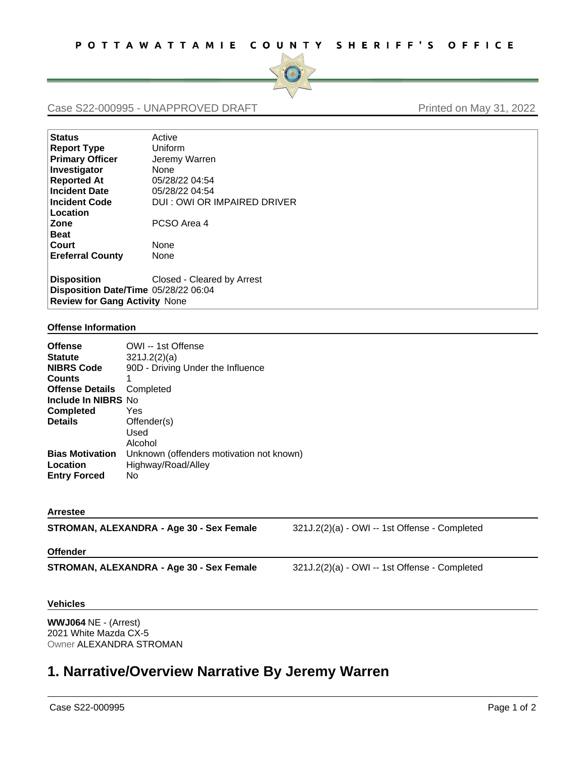

## Case S22-000995 - UNAPPROVED DRAFT Printed on May 31, 2022

| <b>Status</b>                        | Active                       |
|--------------------------------------|------------------------------|
| <b>Report Type</b>                   | Uniform                      |
| <b>Primary Officer</b>               | Jeremy Warren                |
| Investigator                         | None                         |
| <b>Reported At</b>                   | 05/28/22 04:54               |
| <b>Incident Date</b>                 | 05/28/22 04:54               |
| <b>Incident Code</b>                 | DUI : OWI OR IMPAIRED DRIVER |
| Location                             |                              |
| Zone                                 | PCSO Area 4                  |
| <b>Beat</b>                          |                              |
| Court                                | None                         |
| <b>Ereferral County</b>              | None                         |
| <b>Disposition</b>                   | Closed - Cleared by Arrest   |
| Disnosition Date/Time 05/28/22 06:04 |                              |

**Disposition Date/Time** 05/28/22 06:04 **Review for Gang Activity** None

## **Offense Information**

| OWI -- 1st Offense                       |
|------------------------------------------|
| 321J.2(2)(a)                             |
| 90D - Driving Under the Influence        |
| 1                                        |
| Completed                                |
| Include In NIBRS No                      |
| Yes                                      |
| Offender(s)                              |
| Used                                     |
| Alcohol                                  |
| Unknown (offenders motivation not known) |
| Highway/Road/Alley                       |
| No                                       |
|                                          |

## **Arrestee**

| STROMAN, ALEXANDRA - Age 30 - Sex Female | 321J.2(2)(a) - OWI -- 1st Offense - Completed   |
|------------------------------------------|-------------------------------------------------|
| <b>Offender</b>                          |                                                 |
| STROMAN, ALEXANDRA - Age 30 - Sex Female | $321J.2(2)(a)$ - OWI -- 1st Offense - Completed |
| <b>Vehicles</b>                          |                                                 |
|                                          |                                                 |

**WWJ064** NE - (Arrest) 2021 White Mazda CX-5 Owner ALEXANDRA STROMAN

## **1. Narrative/Overview Narrative By Jeremy Warren**